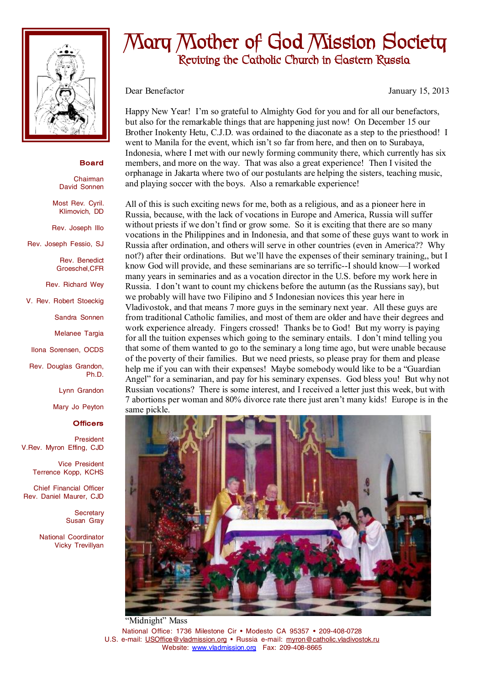

## **Board**

Chairman David Sonnen

Most Rev. Cyril. Klimovich, DD

Rev. Joseph Illo

Rev. Joseph Fessio, SJ

Rev. Benedict Groeschel,CFR

Rev. Richard Wey

V. Rev. Robert Stoeckig

Sandra Sonnen

Melanee Targia

Ilona Sorensen, OCDS

Rev. Douglas Grandon, Ph.D.

Lynn Grandon

Mary Jo Peyton

## **Officers**

President V.Rev. Myron Effing, CJD

> Vice President Terrence Kopp, KCHS

Chief Financial Officer Rev. Daniel Maurer, CJD

> **Secretary** Susan Gray

National Coordinator Vicky Trevillyan

## **Mary Mother of God Mission Society Reviving the Catholic Church in Eastern Russia**

Dear Benefactor January 15, 2013

Happy New Year! I'm so grateful to Almighty God for you and for all our benefactors, but also for the remarkable things that are happening just now! On December 15 our Brother Inokenty Hetu, C.J.D. was ordained to the diaconate as a step to the priesthood! I went to Manila for the event, which isn't so far from here, and then on to Surabaya, Indonesia, where I met with our newly forming community there, which currently has six members, and more on the way. That was also a great experience! Then I visited the orphanage in Jakarta where two of our postulants are helping the sisters, teaching music, and playing soccer with the boys. Also a remarkable experience!

All of this is such exciting news for me, both as a religious, and as a pioneer here in Russia, because, with the lack of vocations in Europe and America, Russia will suffer without priests if we don't find or grow some. So it is exciting that there are so many vocations in the Philippines and in Indonesia, and that some of these guys want to work in Russia after ordination, and others will serve in other countries (even in America?? Why not?) after their ordinations. But we'll have the expenses of their seminary training,, but I know God will provide, and these seminarians are so terrific--I should know—I worked many years in seminaries and as a vocation director in the U.S. before my work here in Russia. I don't want to count my chickens before the autumn (as the Russians say), but we probably will have two Filipino and 5 Indonesian novices this year here in Vladivostok, and that means 7 more guys in the seminary next year. All these guys are from traditional Catholic families, and most of them are older and have their degrees and work experience already. Fingers crossed! Thanks be to God! But my worry is paying for all the tuition expenses which going to the seminary entails. I don't mind telling you that some of them wanted to go to the seminary a long time ago, but were unable because of the poverty of their families. But we need priests, so please pray for them and please help me if you can with their expenses! Maybe somebody would like to be a "Guardian Angel" for a seminarian, and pay for his seminary expenses. God bless you! But why not Russian vocations? There is some interest, and I received a letter just this week, but with 7 abortions per woman and 80% divorce rate there just aren't many kids! Europe is in the same pickle.



National Office: 1736 Milestone Cir • Modesto CA 95357 • 209-408-0728 U.S. e-mail: [USOffice@vladmission.org](mailto:USOffice@vladmission.org) • Russia e-mail: [myron@catholic.vladivostok.ru](mailto:myron@catholic.vladivostok.ru) Website: [www.vladmission.org](http://www.vladmission.org) Fax: 209-408-8665